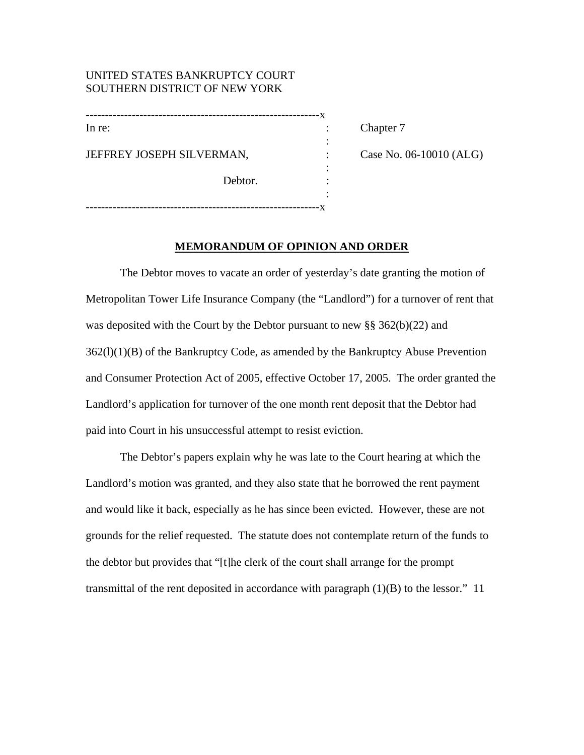## UNITED STATES BANKRUPTCY COURT SOUTHERN DISTRICT OF NEW YORK

| In re:                    |  |
|---------------------------|--|
|                           |  |
| JEFFREY JOSEPH SILVERMAN, |  |
|                           |  |
| Debtor.                   |  |
|                           |  |
|                           |  |

: Chapter 7

Case No. 06-10010 (ALG)

## **MEMORANDUM OF OPINION AND ORDER**

The Debtor moves to vacate an order of yesterday's date granting the motion of Metropolitan Tower Life Insurance Company (the "Landlord") for a turnover of rent that was deposited with the Court by the Debtor pursuant to new §§ 362(b)(22) and  $362(1)(1)(B)$  of the Bankruptcy Code, as amended by the Bankruptcy Abuse Prevention and Consumer Protection Act of 2005, effective October 17, 2005. The order granted the Landlord's application for turnover of the one month rent deposit that the Debtor had paid into Court in his unsuccessful attempt to resist eviction.

The Debtor's papers explain why he was late to the Court hearing at which the Landlord's motion was granted, and they also state that he borrowed the rent payment and would like it back, especially as he has since been evicted. However, these are not grounds for the relief requested. The statute does not contemplate return of the funds to the debtor but provides that "[t]he clerk of the court shall arrange for the prompt transmittal of the rent deposited in accordance with paragraph  $(1)(B)$  to the lessor." 11